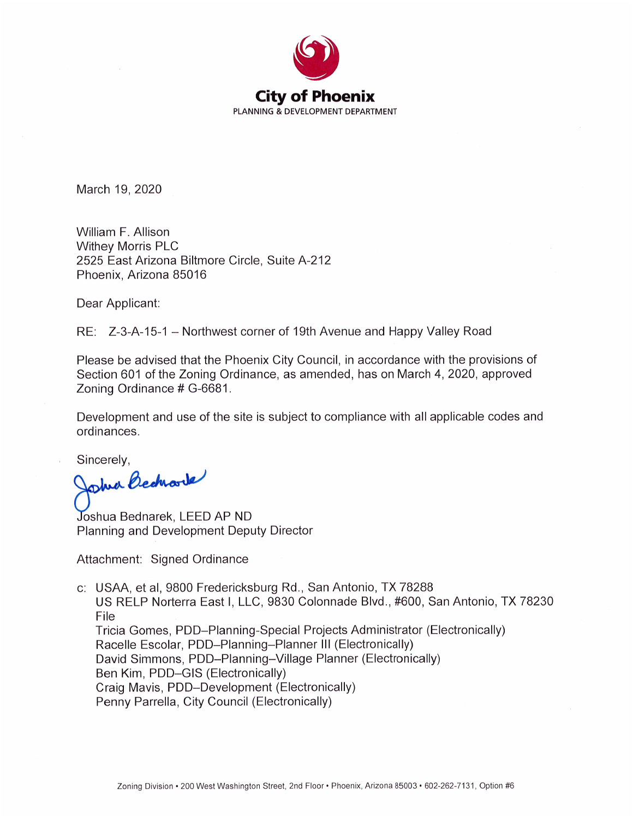

March 19, 2020

William F. Allison **Withey Morris PLC** 2525 East Arizona Biltmore Circle, Suite A-212 Phoenix, Arizona 85016

Dear Applicant:

RE: Z-3-A-15-1 – Northwest corner of 19th Avenue and Happy Valley Road

Please be advised that the Phoenix City Council, in accordance with the provisions of Section 601 of the Zoning Ordinance, as amended, has on March 4, 2020, approved Zoning Ordinance # G-6681.

Development and use of the site is subject to compliance with all applicable codes and ordinances.

Sincerely,

Joshia Becharde

Joshua Bednarek, LEED AP ND Planning and Development Deputy Director

Attachment: Signed Ordinance

c: USAA, et al, 9800 Fredericksburg Rd., San Antonio, TX 78288 US RELP Norterra East I, LLC, 9830 Colonnade Blvd., #600, San Antonio, TX 78230 File Tricia Gomes, PDD-Planning-Special Projects Administrator (Electronically) Racelle Escolar, PDD-Planning-Planner III (Electronically) David Simmons, PDD-Planning-Village Planner (Electronically) Ben Kim, PDD-GIS (Electronically) Craig Mavis, PDD-Development (Electronically) Penny Parrella, City Council (Electronically)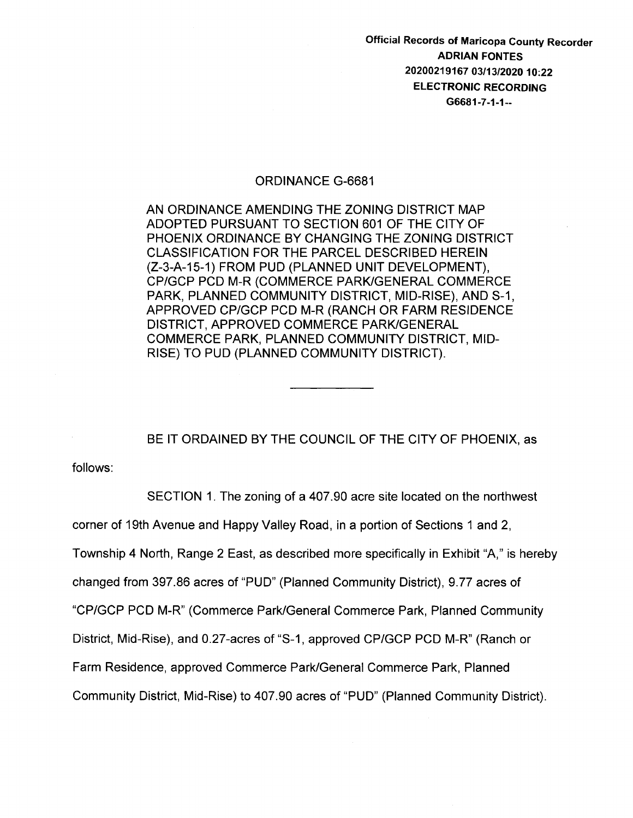Official Records of Maricopa County Recorder ADRIAN FONTES 20200219167 03/13/2020 10:22 ELECTRONIC RECORDING G6681-7-1-1--

## ORDINANCE G-6681

AN ORDINANCE AMENDING THE ZONING DISTRICT MAP ADOPTED PURSUANT TO SECTION 601 OF THE CITY OF PHOENIX ORDINANCE BY CHANGING THE ZONING DISTRICT CLASSIFICATION FOR THE PARCEL DESCRIBED HEREIN (Z-3-A-15-1) FROM PUD (PLANNED UNIT DEVELOPMENT), CP/GCP PCD M-R (COMMERCE PARK/GENERAL COMMERCE PARK, PLANNED COMMUNITY DISTRICT, MID-RISE), AND S-1, APPROVED CP/GCP PCD M-R (RANCH OR FARM RESIDENCE DISTRICT, APPROVED COMMERCE PARK/GENERAL COMMERCE PARK, PLANNED COMMUNITY DISTRICT, MID-RISE) TO PUD (PLANNED COMMUNITY DISTRICT).

BE IT ORDAINED BY THE COUNCIL OF THE CITY OF PHOENIX, as

follows:

SECTION 1. The zoning of a 407.90 acre site located on the northwest corner of 19th Avenue and Happy Valley Road, in a portion of Sections 1 and 2, Township 4 North, Range 2 East, as described more specifically in Exhibit "A," is hereby changed from 397.86 acres of "PUD" (Planned Community District), 9.77 acres of "CP/GCP PCD M-R" (Commerce Park/General Commerce Park, Planned Community District, Mid-Rise), and 0.27-acres of "S-1, approved CP/GCP PCD M-R" (Ranch or Farm Residence, approved Commerce Park/General Commerce Park, Planned Community District, Mid-Rise) to 407.90 acres of "PUD" (Planned Community District).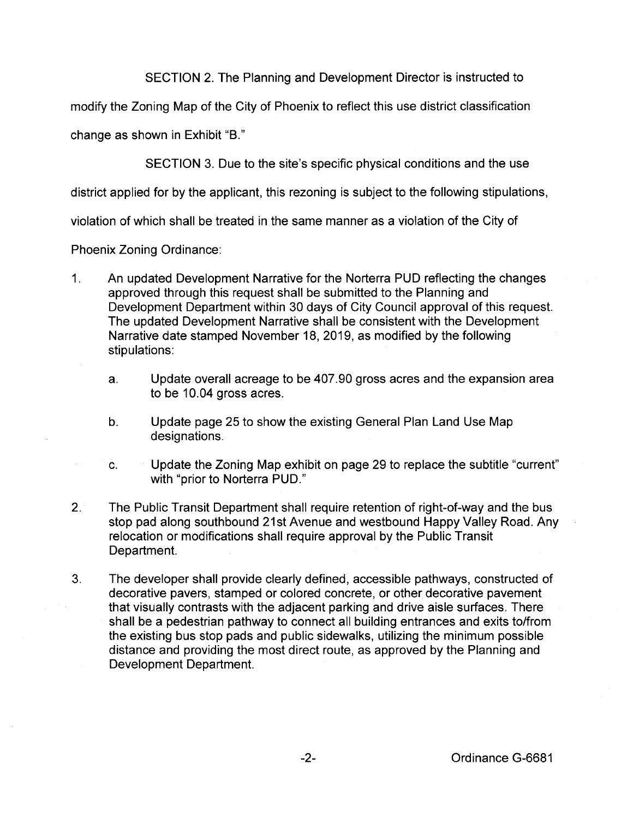SECTION 2. The Planning and Development Director is instructed to

modify the Zoning Map of the City of Phoenix to reflect this use district classification

change as shown in Exhibit "B."

SECTION 3. Due to the site's specific physical conditions and the use

district applied for by the applicant, this rezoning is subject to the following stipulations,

violation of which shall be treated in the same manner as a violation of the City of

Phoenix Zoning Ordinance:

- 1. An updated Development Narrative for the Norterra PUD reflecting the changes approved through this request shall be submitted to the Planning and Development Department within 30 days of City Council approval of this request. The updated Development Narrative shall be consistent with the Development Narrative date stamped November 18, 2019, as modified by the following stipulations:
	- a. Update overall acreage to be 407.90 gross acres and the expansion area to be 10.04 gross acres.
	- b. Update page 25 to show the existing General Plan Land Use Map designations.
	- c. Update the Zoning Map exhibit on page 29 to replace the subtitle "current" with "prior to Norterra PUD."
- 2. The Public Transit Department shall require retention of right-of-way and the bus stop pad along southbound 21st Avenue and westbound Happy Valley Road. Any relocation or modifications shall require approval by the Public Transit Department.
- 3. The developer shall provide clearly defined, accessible pathways, constructed of decorative pavers, stamped or colored concrete, or other decorative pavement that visually contrasts with the adjacent parking and drive aisle surfaces. There shall be a pedestrian pathway to connect all building entrances and exits to/from the existing bus stop pads and public sidewalks, utilizing the minimum possible distance and providing the most direct route, as approved by the Planning and Development Department.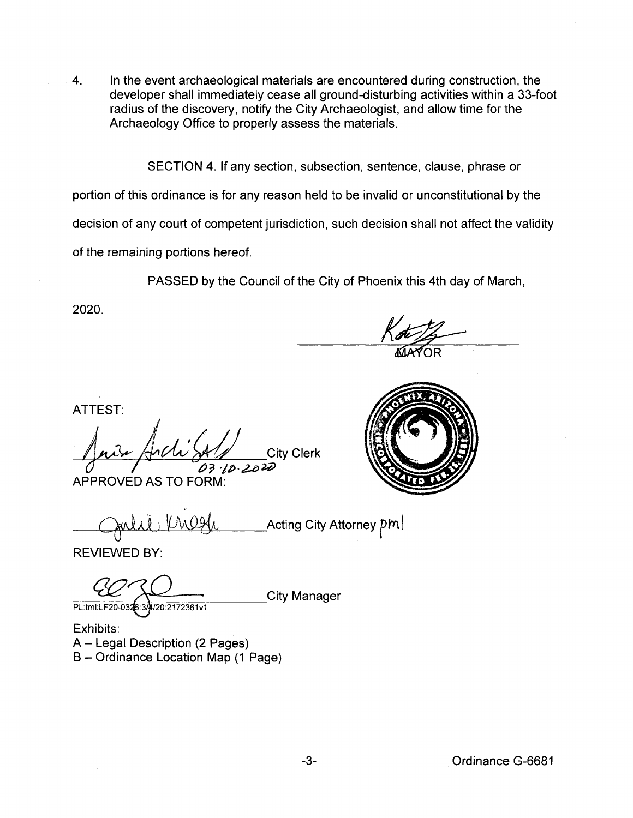4. In the event archaeological materials are encountered during construction, the developer shall immediately cease all ground-disturbing activities within a 33-foot radius of the discovery, notify the City Archaeologist, and allow time for the Archaeology Office to properly assess the materials.

SECTION 4. If any section, subsection, sentence, clause, phrase or

portion of this ordinance is for any reason held to be invalid or unconstitutional by the

decision of any court of competent jurisdiction, such decision shall not affect the validity

of the remaining portions hereof.

PASSED by the Council of the City of Phoenix this 4th day of March,

2020.

ATTEST:

Juin Anchi SA/ City Clerk Inis Arch SAU City Clerk<br>03.10.2020<br>APPROVED AS TO FORM:

'

\_\_Acting City Attorney  $\bm{p}\bm{m}$   $\bm{l}$ 

REVIEWED BY:

PL:tml:LF20-0326:3/4/20:2172361v1

**City Manager** 

Exhibits: A- Legal Description (2 Pages) 8- Ordinance Location Map (1 Page)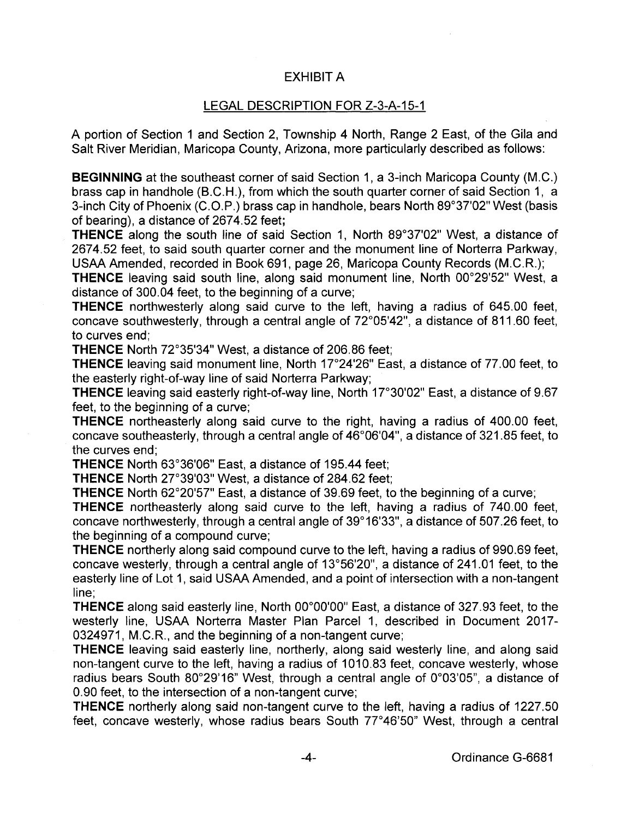## EXHIBIT A

## LEGAL DESCRIPTION FOR Z-3-A-15-1

A portion of Section 1 and Section 2, Township 4 North, Range 2 East, of the Gila and Salt River Meridian, Maricopa County, Arizona, more particularly described as follows:

**BEGINNING** at the southeast corner of said Section 1, a 3-inch Maricopa County (M.C.) brass cap in handhole (B.C.H.), from which the south quarter corner of said Section 1, a 3-inch City of Phoenix (C.O.P.) brass cap in handhole, bears North 89°37'02" West (basis of bearing), a distance of 2674.52 feet;

**THENCE** along the south line of said Section 1, North 89°37'02" West, a distance of 2674.52 feet, to said south quarter corner and the monument line of Norterra Parkway, USAA Amended, recorded in Book 691, page 26, Maricopa County Records (M.C.R.);

**THENCE** leaving said south line, along said monument line, North 00°29'52" West, a distance of 300.04 feet, to the beginning of a curve;

**THENCE** northwesterly along said curve to the left, having a radius of 645.00 feet, concave southwesterly, through a central angle of 72°05'42", a distance of 811.60 feet, to curves end;

**THENCE** North 72°35'34" West, a distance of 206.86 feet;

**THENCE** leaving said monument line, North 17°24'26" East, a distance of 77.00 feet, to the easterly right-of-way line of said Norterra Parkway;

**THENCE** leaving said easterly right-of-way line, North 17°30'02" East, a distance of 9.67 feet, to the beginning of a curve;

**THENCE** northeasterly along said curve to the right, having a radius of 400.00 feet, concave southeasterly, through a central angle of 46°06'04", a distance of 321.85 feet, to the curves end;

**THENCE** North 63°36'06" East, a distance of 195.44 feet;

**THENCE** North 27°39'03" West, a distance of 284.62 feet;

**THENCE** North 62°20'57" East, a distance of 39.69 feet, to the beginning of a curve;

**THENCE** northeasterly along said curve to the left, having a radius of 740.00 feet, concave northwesterly, through a central angle of 39°16'33", a distance of 507.26 feet, to the beginning of a compound curve;

**THENCE** northerly along said compound curve to the left, having a radius of 990.69 feet, concave westerly, through a central angle of 13°56'20", a distance of 241.01 feet, to the easterly line of Lot 1, said USAA Amended, and a point of intersection with a non-tangent line;

**THENCE** along said easterly line, North 00°00'00" East, a distance of 327.93 feet, to the westerly line, USAA Norterra Master Plan Parcel 1, described in Document 2017- 0324971, M.C.R., and the beginning of a non-tangent curve;

**THENCE** leaving said easterly line, northerly, along said westerly line, and along said non-tangent curve to the left, having a radius of 1010.83 feet, concave westerly, whose radius bears South 80°29'16" West, through a central angle of 0°03'05", a distance of 0.90 feet, to the intersection of a non-tangent curve;

**THENCE** northerly along said non-tangent curve to the left, having a radius of 1227.50 feet, concave westerly, whose radius bears South 77°46'50" West, through a central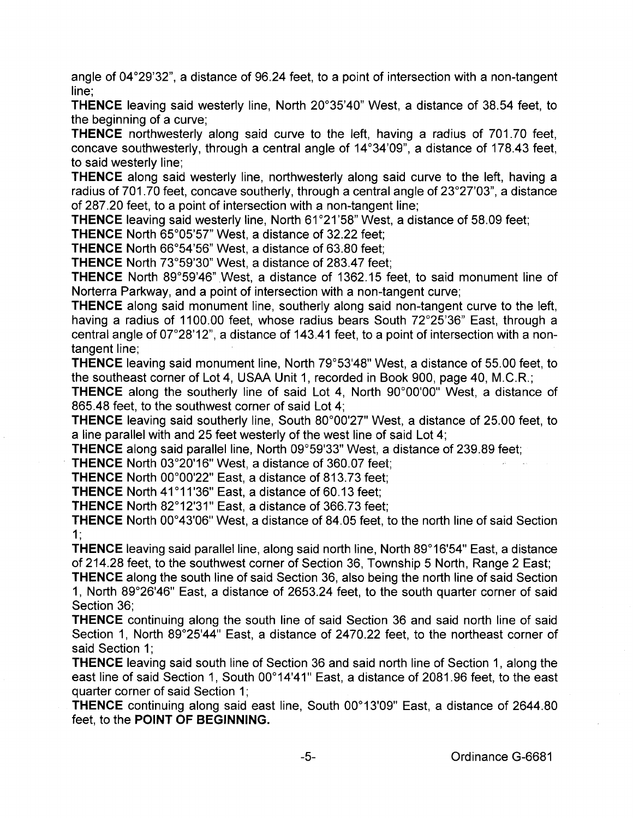angle of 04°29'32", a distance of 96.24 feet, to a point of intersection with a non-tangent line;

**THENCE** leaving said westerly line, North 20°35'40" West, a distance of 38.54 feet, to the beginning of a curve;

**THENCE** northwesterly along said curve to the left, having a radius of 701.70 feet, concave southwesterly, through a central angle of 14°34'09", a distance of 178.43 feet, to said westerly line;

**THENCE** along said westerly line, northwesterly along said curve to the left, having a radius of 701.70 feet, concave southerly, through a central angle of 23°27'03", a distance of 287.20 feet, to a point of intersection with a non-tangent line;

**THENCE** leaving said westerly line, North 61°21 '58" West, a distance of 58.09 feet;

**THENCE** North 65°05'57" West, a distance of 32.22 feet;

**THENCE** North 66°54'56" West, a distance of 63.80 feet;

**THENCE** North 73°59'30" West, a distance of 283.47 feet;

**THENCE** North 89°59'46" West, a distance of 1362.15 feet, to said monument line of Norterra Parkway, and a point of intersection with a non-tangent curve;

**THENCE** along said monument line, southerly along said non-tangent curve to the left, having a radius of 1100.00 feet, whose radius bears South 72°25'36" East, through a central angle of  $07^{\circ}28'12$ ", a distance of 143.41 feet, to a point of intersection with a nontangent line:

**THENCE** leaving said monument line, North 79°53'48" West, a distance of 55.00 feet, to the southeast corner of Lot 4, USAA Unit 1, recorded in Book 900, page 40, M.C.R.;

**THENCE** along the southerly line of said Lot 4, North 90°00'00" West, a distance of 865.48 feet, to the southwest corner of said Lot 4;

**THENCE** leaving said southerly line, South 80°00'27" West, a distance of 25.00 feet, to a line parallel with and 25 feet westerly of the west line of said Lot 4;

**THENCE** along said parallel line, North 09°59'33" West, a distance of 239.89 feet;

**THENCE** North 03°20'16" West, a distance of 360.07 feet;

**THENCE** North 00°00'22" East, a distance of 813.73 feet;

**THENCE** North 41°11'36" East, a distance of 60.13 feet;

**THENCE** North 82°12'31" East, a distance of 366.73 feet;

**THENCE** North 00°43'06" West, a distance of 84.05 feet, to the north line of said Section 1•

**THENCE** leaving said parallel line, along said north line, North 89°16'54" East, a distance of 214.28 feet, to the southwest corner of Section 36, Township 5 North, Range 2 East;

**THENCE** along the south line of said Section 36, also being the north line of said Section 1, North 89°26'46" East, a distance of 2653.24 feet, to the south quarter corner of said Section 36;

**THENCE** continuing along the south line of said Section 36 and said north line of said Section 1, North 89°25'44" East, a distance of 2470.22 feet, to the northeast corner of said Section 1:

**THENCE** leaving said south line of Section 36 and said north line of Section 1, along the east line of said Section 1, South 00°14'41" East, a distance of 2081.96 feet, to the east quarter corner of said Section 1;

**THENCE** continuing along said east line, South 00°13'09" East, a distance of 2644.80 feet, to the **POINT OF BEGINNING.**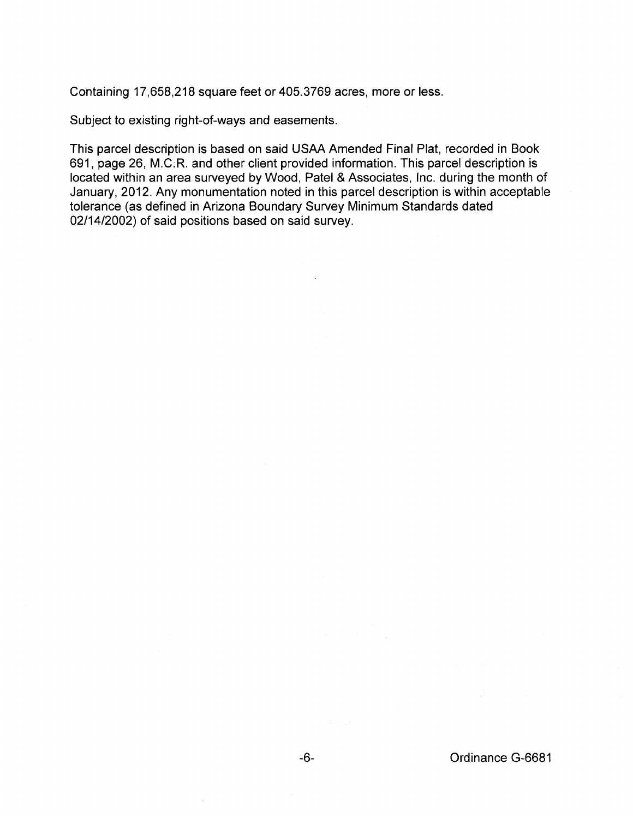Containing 17,658,218 square feet or 405.3769 acres, more or less.

Subject to existing right-of-ways and easements.

This parcel description is based on said USAA Amended Final Plat, recorded in Book 691, page 26, M.C:R. and other client provided information. This parcel description is located within an area surveyed by Wood, Patel & Associates, Inc. during the month of January, 2012. Any monumentation noted in this parcel description is within acceptable tolerance (as defined in Arizona Boundary Survey Minimum Standards dated 02/14/2002) of said positions based on said survey.